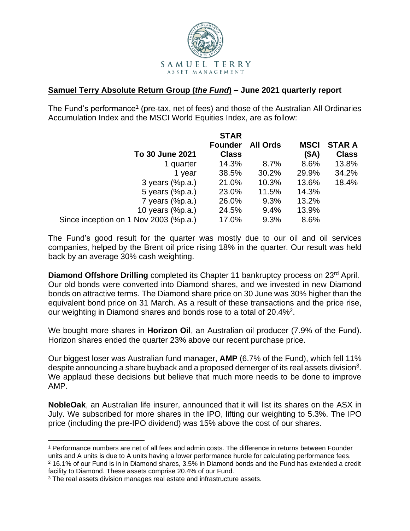

## **Samuel Terry Absolute Return Group (***the Fund***) – June 2021 quarterly report**

The Fund's performance<sup>1</sup> (pre-tax, net of fees) and those of the Australian All Ordinaries Accumulation Index and the MSCI World Equities Index, are as follow:

|                                       | <b>STAR</b>    |                 |             |               |
|---------------------------------------|----------------|-----------------|-------------|---------------|
|                                       | <b>Founder</b> | <b>All Ords</b> | <b>MSCI</b> | <b>STAR A</b> |
| To 30 June 2021                       | <b>Class</b>   |                 | (SA)        | <b>Class</b>  |
| 1 quarter                             | 14.3%          | 8.7%            | 8.6%        | 13.8%         |
| 1 year                                | 38.5%          | 30.2%           | 29.9%       | 34.2%         |
| 3 years $(\%p.a.)$                    | 21.0%          | 10.3%           | 13.6%       | 18.4%         |
| 5 years (%p.a.)                       | 23.0%          | 11.5%           | 14.3%       |               |
| 7 years $(\%p.a.)$                    | 26.0%          | 9.3%            | 13.2%       |               |
| 10 years (%p.a.)                      | 24.5%          | 9.4%            | 13.9%       |               |
| Since inception on 1 Nov 2003 (%p.a.) | 17.0%          | 9.3%            | 8.6%        |               |

The Fund's good result for the quarter was mostly due to our oil and oil services companies, helped by the Brent oil price rising 18% in the quarter. Our result was held back by an average 30% cash weighting.

**Diamond Offshore Drilling** completed its Chapter 11 bankruptcy process on 23rd April. Our old bonds were converted into Diamond shares, and we invested in new Diamond bonds on attractive terms. The Diamond share price on 30 June was 30% higher than the equivalent bond price on 31 March. As a result of these transactions and the price rise, our weighting in Diamond shares and bonds rose to a total of 20.4%<sup>2</sup>.

We bought more shares in **Horizon Oil**, an Australian oil producer (7.9% of the Fund). Horizon shares ended the quarter 23% above our recent purchase price.

Our biggest loser was Australian fund manager, **AMP** (6.7% of the Fund), which fell 11% despite announcing a share buyback and a proposed demerger of its real assets division<sup>3</sup>. We applaud these decisions but believe that much more needs to be done to improve AMP.

**NobleOak**, an Australian life insurer, announced that it will list its shares on the ASX in July. We subscribed for more shares in the IPO, lifting our weighting to 5.3%. The IPO price (including the pre-IPO dividend) was 15% above the cost of our shares.

<sup>1</sup> Performance numbers are net of all fees and admin costs. The difference in returns between Founder units and A units is due to A units having a lower performance hurdle for calculating performance fees. <sup>2</sup> 16.1% of our Fund is in in Diamond shares, 3.5% in Diamond bonds and the Fund has extended a credit facility to Diamond. These assets comprise 20.4% of our Fund.

<sup>&</sup>lt;sup>3</sup> The real assets division manages real estate and infrastructure assets.